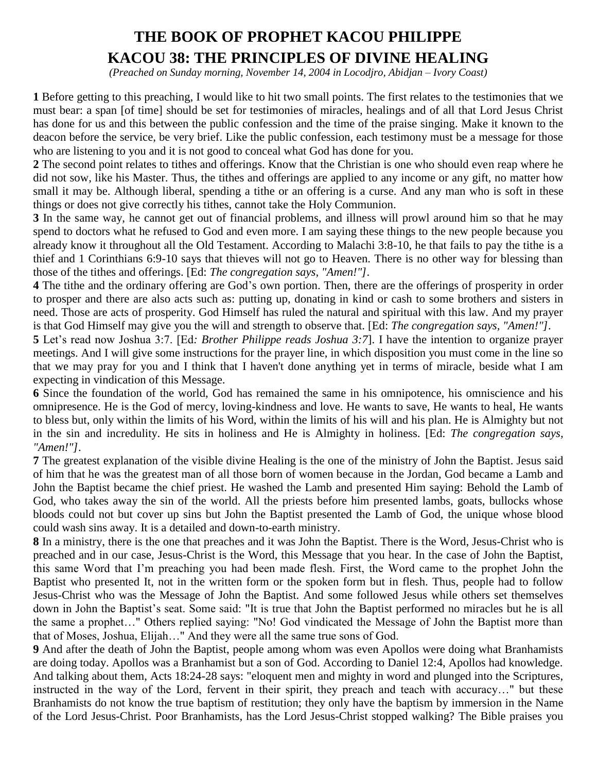# **THE BOOK OF PROPHET KACOU PHILIPPE KACOU 38: THE PRINCIPLES OF DIVINE HEALING**

*(Preached on Sunday morning, November 14, 2004 in Locodjro, Abidjan – Ivory Coast)* 

**1** Before getting to this preaching, I would like to hit two small points. The first relates to the testimonies that we must bear: a span [of time] should be set for testimonies of miracles, healings and of all that Lord Jesus Christ has done for us and this between the public confession and the time of the praise singing. Make it known to the deacon before the service, be very brief. Like the public confession, each testimony must be a message for those who are listening to you and it is not good to conceal what God has done for you.

**2** The second point relates to tithes and offerings. Know that the Christian is one who should even reap where he did not sow, like his Master. Thus, the tithes and offerings are applied to any income or any gift, no matter how small it may be. Although liberal, spending a tithe or an offering is a curse. And any man who is soft in these things or does not give correctly his tithes, cannot take the Holy Communion.

**3** In the same way, he cannot get out of financial problems, and illness will prowl around him so that he may spend to doctors what he refused to God and even more. I am saying these things to the new people because you already know it throughout all the Old Testament. According to Malachi 3:8-10, he that fails to pay the tithe is a thief and 1 Corinthians 6:9-10 says that thieves will not go to Heaven. There is no other way for blessing than those of the tithes and offerings. [Ed: *The congregation says, "Amen!"]*.

**4** The tithe and the ordinary offering are God's own portion. Then, there are the offerings of prosperity in order to prosper and there are also acts such as: putting up, donating in kind or cash to some brothers and sisters in need. Those are acts of prosperity. God Himself has ruled the natural and spiritual with this law. And my prayer is that God Himself may give you the will and strength to observe that. [Ed: *The congregation says, "Amen!"]*.

**5** Let's read now Joshua 3:7. [Ed*: Brother Philippe reads Joshua 3:7*]. I have the intention to organize prayer meetings. And I will give some instructions for the prayer line, in which disposition you must come in the line so that we may pray for you and I think that I haven't done anything yet in terms of miracle, beside what I am expecting in vindication of this Message.

**6** Since the foundation of the world, God has remained the same in his omnipotence, his omniscience and his omnipresence. He is the God of mercy, loving-kindness and love. He wants to save, He wants to heal, He wants to bless but, only within the limits of his Word, within the limits of his will and his plan. He is Almighty but not in the sin and incredulity. He sits in holiness and He is Almighty in holiness. [Ed: *The congregation says, "Amen!"]*.

**7** The greatest explanation of the visible divine Healing is the one of the ministry of John the Baptist. Jesus said of him that he was the greatest man of all those born of women because in the Jordan, God became a Lamb and John the Baptist became the chief priest. He washed the Lamb and presented Him saying: Behold the Lamb of God, who takes away the sin of the world. All the priests before him presented lambs, goats, bullocks whose bloods could not but cover up sins but John the Baptist presented the Lamb of God, the unique whose blood could wash sins away. It is a detailed and down-to-earth ministry.

**8** In a ministry, there is the one that preaches and it was John the Baptist. There is the Word, Jesus-Christ who is preached and in our case, Jesus-Christ is the Word, this Message that you hear. In the case of John the Baptist, this same Word that I'm preaching you had been made flesh. First, the Word came to the prophet John the Baptist who presented It, not in the written form or the spoken form but in flesh. Thus, people had to follow Jesus-Christ who was the Message of John the Baptist. And some followed Jesus while others set themselves down in John the Baptist's seat. Some said: "It is true that John the Baptist performed no miracles but he is all the same a prophet…" Others replied saying: "No! God vindicated the Message of John the Baptist more than that of Moses, Joshua, Elijah…" And they were all the same true sons of God.

**9** And after the death of John the Baptist, people among whom was even Apollos were doing what Branhamists are doing today. Apollos was a Branhamist but a son of God. According to Daniel 12:4, Apollos had knowledge. And talking about them, Acts 18:24-28 says: "eloquent men and mighty in word and plunged into the Scriptures, instructed in the way of the Lord, fervent in their spirit, they preach and teach with accuracy…" but these Branhamists do not know the true baptism of restitution; they only have the baptism by immersion in the Name of the Lord Jesus-Christ. Poor Branhamists, has the Lord Jesus-Christ stopped walking? The Bible praises you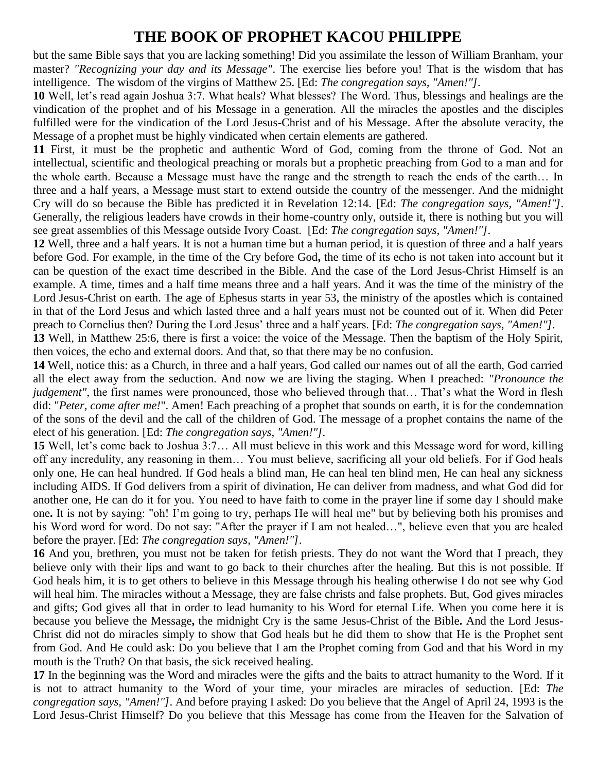but the same Bible says that you are lacking something! Did you assimilate the lesson of William Branham, your master? *"Recognizing your day and its Message"*. The exercise lies before you! That is the wisdom that has intelligence. The wisdom of the virgins of Matthew 25. [Ed: *The congregation says, "Amen!"]*.

**10** Well, let's read again Joshua 3:7. What heals? What blesses? The Word. Thus, blessings and healings are the vindication of the prophet and of his Message in a generation. All the miracles the apostles and the disciples fulfilled were for the vindication of the Lord Jesus-Christ and of his Message. After the absolute veracity, the Message of a prophet must be highly vindicated when certain elements are gathered.

**11** First, it must be the prophetic and authentic Word of God, coming from the throne of God. Not an intellectual, scientific and theological preaching or morals but a prophetic preaching from God to a man and for the whole earth. Because a Message must have the range and the strength to reach the ends of the earth… In three and a half years, a Message must start to extend outside the country of the messenger. And the midnight Cry will do so because the Bible has predicted it in Revelation 12:14. [Ed: *The congregation says, "Amen!"]*. Generally, the religious leaders have crowds in their home-country only, outside it, there is nothing but you will see great assemblies of this Message outside Ivory Coast. [Ed: *The congregation says, "Amen!"]*.

**12** Well, three and a half years. It is not a human time but a human period, it is question of three and a half years before God. For example, in the time of the Cry before God**,** the time of its echo is not taken into account but it can be question of the exact time described in the Bible. And the case of the Lord Jesus-Christ Himself is an example. A time, times and a half time means three and a half years. And it was the time of the ministry of the Lord Jesus-Christ on earth. The age of Ephesus starts in year 53, the ministry of the apostles which is contained in that of the Lord Jesus and which lasted three and a half years must not be counted out of it. When did Peter preach to Cornelius then? During the Lord Jesus' three and a half years. [Ed: *The congregation says, "Amen!"]*.

**13** Well, in Matthew 25:6, there is first a voice: the voice of the Message. Then the baptism of the Holy Spirit, then voices, the echo and external doors. And that, so that there may be no confusion.

**14** Well, notice this: as a Church, in three and a half years, God called our names out of all the earth, God carried all the elect away from the seduction. And now we are living the staging. When I preached: *"Pronounce the judgement"*, the first names were pronounced, those who believed through that... That's what the Word in flesh did: "*Peter, come after me!*". Amen! Each preaching of a prophet that sounds on earth, it is for the condemnation of the sons of the devil and the call of the children of God. The message of a prophet contains the name of the elect of his generation. [Ed: *The congregation says, "Amen!"]*.

**15** Well, let's come back to Joshua 3:7… All must believe in this work and this Message word for word, killing off any incredulity, any reasoning in them… You must believe, sacrificing all your old beliefs. For if God heals only one, He can heal hundred. If God heals a blind man, He can heal ten blind men, He can heal any sickness including AIDS. If God delivers from a spirit of divination, He can deliver from madness, and what God did for another one, He can do it for you. You need to have faith to come in the prayer line if some day I should make one**.** It is not by saying: "oh! I'm going to try, perhaps He will heal me" but by believing both his promises and his Word word for word. Do not say: "After the prayer if I am not healed…", believe even that you are healed before the prayer. [Ed: *The congregation says, "Amen!"]*.

**16** And you, brethren, you must not be taken for fetish priests. They do not want the Word that I preach, they believe only with their lips and want to go back to their churches after the healing. But this is not possible. If God heals him, it is to get others to believe in this Message through his healing otherwise I do not see why God will heal him. The miracles without a Message, they are false christs and false prophets. But, God gives miracles and gifts; God gives all that in order to lead humanity to his Word for eternal Life. When you come here it is because you believe the Message**,** the midnight Cry is the same Jesus-Christ of the Bible**.** And the Lord Jesus-Christ did not do miracles simply to show that God heals but he did them to show that He is the Prophet sent from God. And He could ask: Do you believe that I am the Prophet coming from God and that his Word in my mouth is the Truth? On that basis, the sick received healing.

**17** In the beginning was the Word and miracles were the gifts and the baits to attract humanity to the Word. If it is not to attract humanity to the Word of your time, your miracles are miracles of seduction. [Ed: *The congregation says, "Amen!"]*. And before praying I asked: Do you believe that the Angel of April 24, 1993 is the Lord Jesus-Christ Himself? Do you believe that this Message has come from the Heaven for the Salvation of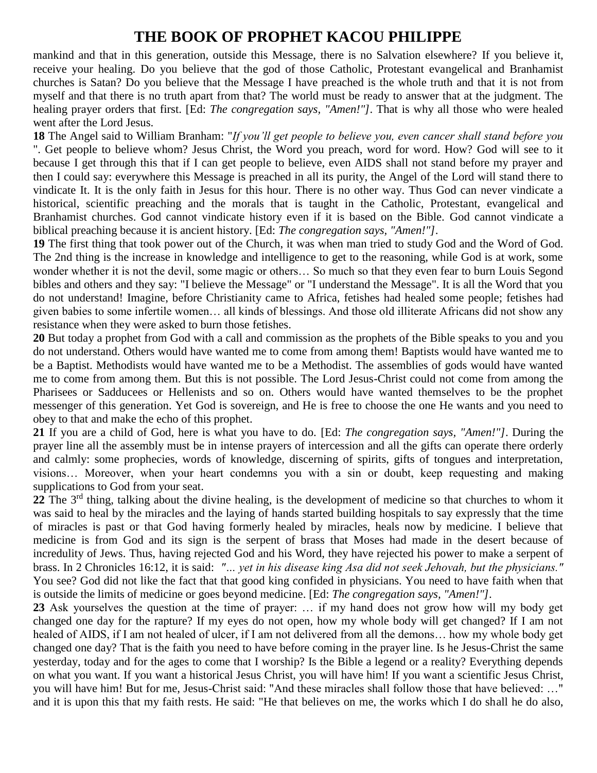mankind and that in this generation, outside this Message, there is no Salvation elsewhere? If you believe it, receive your healing. Do you believe that the god of those Catholic, Protestant evangelical and Branhamist churches is Satan? Do you believe that the Message I have preached is the whole truth and that it is not from myself and that there is no truth apart from that? The world must be ready to answer that at the judgment. The healing prayer orders that first. [Ed: *The congregation says, "Amen!"]*. That is why all those who were healed went after the Lord Jesus.

**18** The Angel said to William Branham: "*If you'll get people to believe you, even cancer shall stand before you* ". Get people to believe whom? Jesus Christ, the Word you preach, word for word. How? God will see to it because I get through this that if I can get people to believe, even AIDS shall not stand before my prayer and then I could say: everywhere this Message is preached in all its purity, the Angel of the Lord will stand there to vindicate It. It is the only faith in Jesus for this hour. There is no other way. Thus God can never vindicate a historical, scientific preaching and the morals that is taught in the Catholic, Protestant, evangelical and Branhamist churches. God cannot vindicate history even if it is based on the Bible. God cannot vindicate a biblical preaching because it is ancient history. [Ed: *The congregation says, "Amen!"]*.

**19** The first thing that took power out of the Church, it was when man tried to study God and the Word of God. The 2nd thing is the increase in knowledge and intelligence to get to the reasoning, while God is at work, some wonder whether it is not the devil, some magic or others… So much so that they even fear to burn Louis Segond bibles and others and they say: "I believe the Message" or "I understand the Message". It is all the Word that you do not understand! Imagine, before Christianity came to Africa, fetishes had healed some people; fetishes had given babies to some infertile women… all kinds of blessings. And those old illiterate Africans did not show any resistance when they were asked to burn those fetishes.

**20** But today a prophet from God with a call and commission as the prophets of the Bible speaks to you and you do not understand. Others would have wanted me to come from among them! Baptists would have wanted me to be a Baptist. Methodists would have wanted me to be a Methodist. The assemblies of gods would have wanted me to come from among them. But this is not possible. The Lord Jesus-Christ could not come from among the Pharisees or Sadducees or Hellenists and so on. Others would have wanted themselves to be the prophet messenger of this generation. Yet God is sovereign, and He is free to choose the one He wants and you need to obey to that and make the echo of this prophet.

**21** If you are a child of God, here is what you have to do. [Ed: *The congregation says, "Amen!"]*. During the prayer line all the assembly must be in intense prayers of intercession and all the gifts can operate there orderly and calmly: some prophecies, words of knowledge, discerning of spirits, gifts of tongues and interpretation, visions… Moreover, when your heart condemns you with a sin or doubt, keep requesting and making supplications to God from your seat.

**22** The 3rd thing, talking about the divine healing, is the development of medicine so that churches to whom it was said to heal by the miracles and the laying of hands started building hospitals to say expressly that the time of miracles is past or that God having formerly healed by miracles, heals now by medicine. I believe that medicine is from God and its sign is the serpent of brass that Moses had made in the desert because of incredulity of Jews. Thus, having rejected God and his Word, they have rejected his power to make a serpent of brass. In 2 Chronicles 16:12, it is said: *"… yet in his disease king Asa did not seek Jehovah, but the physicians."* You see? God did not like the fact that that good king confided in physicians. You need to have faith when that is outside the limits of medicine or goes beyond medicine. [Ed: *The congregation says, "Amen!"]*.

**23** Ask yourselves the question at the time of prayer: … if my hand does not grow how will my body get changed one day for the rapture? If my eyes do not open, how my whole body will get changed? If I am not healed of AIDS, if I am not healed of ulcer, if I am not delivered from all the demons… how my whole body get changed one day? That is the faith you need to have before coming in the prayer line. Is he Jesus-Christ the same yesterday, today and for the ages to come that I worship? Is the Bible a legend or a reality? Everything depends on what you want. If you want a historical Jesus Christ, you will have him! If you want a scientific Jesus Christ, you will have him! But for me, Jesus-Christ said: "And these miracles shall follow those that have believed: …" and it is upon this that my faith rests. He said: "He that believes on me, the works which I do shall he do also,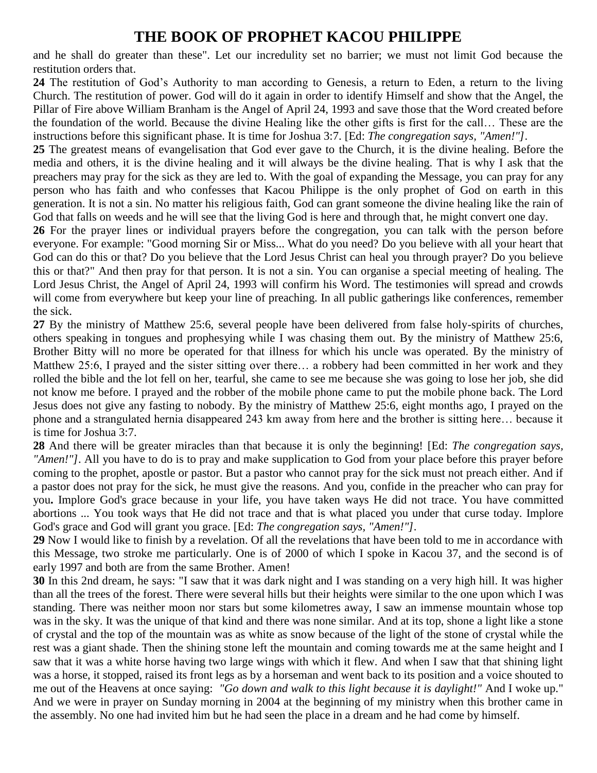and he shall do greater than these". Let our incredulity set no barrier; we must not limit God because the restitution orders that.

**24** The restitution of God's Authority to man according to Genesis, a return to Eden, a return to the living Church. The restitution of power. God will do it again in order to identify Himself and show that the Angel, the Pillar of Fire above William Branham is the Angel of April 24, 1993 and save those that the Word created before the foundation of the world. Because the divine Healing like the other gifts is first for the call… These are the instructions before this significant phase. It is time for Joshua 3:7. [Ed: *The congregation says, "Amen!"]*.

**25** The greatest means of evangelisation that God ever gave to the Church, it is the divine healing. Before the media and others, it is the divine healing and it will always be the divine healing. That is why I ask that the preachers may pray for the sick as they are led to. With the goal of expanding the Message, you can pray for any person who has faith and who confesses that Kacou Philippe is the only prophet of God on earth in this generation. It is not a sin. No matter his religious faith, God can grant someone the divine healing like the rain of God that falls on weeds and he will see that the living God is here and through that, he might convert one day.

**26** For the prayer lines or individual prayers before the congregation, you can talk with the person before everyone. For example: "Good morning Sir or Miss... What do you need? Do you believe with all your heart that God can do this or that? Do you believe that the Lord Jesus Christ can heal you through prayer? Do you believe this or that?" And then pray for that person. It is not a sin. You can organise a special meeting of healing. The Lord Jesus Christ, the Angel of April 24, 1993 will confirm his Word. The testimonies will spread and crowds will come from everywhere but keep your line of preaching. In all public gatherings like conferences, remember the sick.

**27** By the ministry of Matthew 25:6, several people have been delivered from false holy-spirits of churches, others speaking in tongues and prophesying while I was chasing them out. By the ministry of Matthew 25:6, Brother Bitty will no more be operated for that illness for which his uncle was operated. By the ministry of Matthew 25:6, I prayed and the sister sitting over there… a robbery had been committed in her work and they rolled the bible and the lot fell on her, tearful, she came to see me because she was going to lose her job, she did not know me before. I prayed and the robber of the mobile phone came to put the mobile phone back. The Lord Jesus does not give any fasting to nobody. By the ministry of Matthew 25:6, eight months ago, I prayed on the phone and a strangulated hernia disappeared 243 km away from here and the brother is sitting here… because it is time for Joshua 3:7.

**28** And there will be greater miracles than that because it is only the beginning! [Ed: *The congregation says, "Amen!"]*. All you have to do is to pray and make supplication to God from your place before this prayer before coming to the prophet, apostle or pastor. But a pastor who cannot pray for the sick must not preach either. And if a pastor does not pray for the sick, he must give the reasons. And you, confide in the preacher who can pray for you**.** Implore God's grace because in your life, you have taken ways He did not trace. You have committed abortions ... You took ways that He did not trace and that is what placed you under that curse today. Implore God's grace and God will grant you grace. [Ed: *The congregation says, "Amen!"]*.

**29** Now I would like to finish by a revelation. Of all the revelations that have been told to me in accordance with this Message, two stroke me particularly. One is of 2000 of which I spoke in Kacou 37, and the second is of early 1997 and both are from the same Brother. Amen!

**30** In this 2nd dream, he says: "I saw that it was dark night and I was standing on a very high hill. It was higher than all the trees of the forest. There were several hills but their heights were similar to the one upon which I was standing. There was neither moon nor stars but some kilometres away, I saw an immense mountain whose top was in the sky. It was the unique of that kind and there was none similar. And at its top, shone a light like a stone of crystal and the top of the mountain was as white as snow because of the light of the stone of crystal while the rest was a giant shade. Then the shining stone left the mountain and coming towards me at the same height and I saw that it was a white horse having two large wings with which it flew. And when I saw that that shining light was a horse, it stopped, raised its front legs as by a horseman and went back to its position and a voice shouted to me out of the Heavens at once saying: *"Go down and walk to this light because it is daylight!"* And I woke up." And we were in prayer on Sunday morning in 2004 at the beginning of my ministry when this brother came in the assembly. No one had invited him but he had seen the place in a dream and he had come by himself.